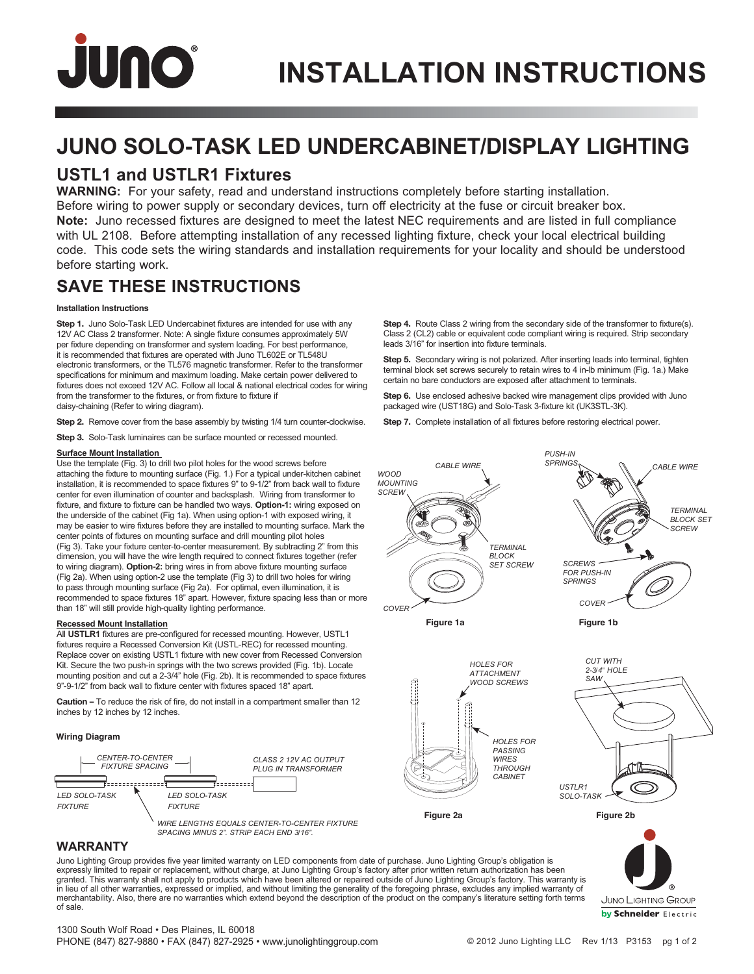# JUNO

# **JUNO SOLO-TASK LED UNDERCABINET/DISPLAY LIGHTING**

## **USTL1 and USTLR1 Fixtures**

**WARNING:** For your safety, read and understand instructions completely before starting installation. Before wiring to power supply or secondary devices, turn off electricity at the fuse or circuit breaker box. **Note:** Juno recessed fixtures are designed to meet the latest NEC requirements and are listed in full compliance with UL 2108. Before attempting installation of any recessed lighting fixture, check your local electrical building code. This code sets the wiring standards and installation requirements for your locality and should be understood before starting work.

## **SAVE THESE INSTRUCTIONS**

#### **Installation Instructions**

**Step 1.** Juno Solo-Task LED Undercabinet fixtures are intended for use with any 12V AC Class 2 transformer. Note: A single fixture consumes approximately 5W per fixture depending on transformer and system loading. For best performance, it is recommended that fixtures are operated with Juno TL602E or TL548U electronic transformers, or the TL576 magnetic transformer. Refer to the transformer specifications for minimum and maximum loading. Make certain power delivered to fixtures does not exceed 12V AC. Follow all local & national electrical codes for wiring from the transformer to the fixtures, or from fixture to fixture if daisy-chaining (Refer to wiring diagram).

**Step 2.** Remove cover from the base assembly by twisting 1/4 turn counter-clockwise.

**Step 3.** Solo-Task luminaires can be surface mounted or recessed mounted.

#### **Surface Mount Installation**

Use the template (Fig. 3) to drill two pilot holes for the wood screws before attaching the fixture to mounting surface (Fig. 1.) For a typical under-kitchen cabinet installation, it is recommended to space fixtures 9" to 9-1/2" from back wall to fixture center for even illumination of counter and backsplash. Wiring from transformer to fixture, and fixture to fixture can be handled two ways. Option-1: wiring exposed on the underside of the cabinet (Fig 1a). When using option-1 with exposed wiring, it may be easier to wire fixtures before they are installed to mounting surface. Mark the center points of fixtures on mounting surface and drill mounting pilot holes (Fig 3). Take your fixture center-to-center measurement. By subtracting 2" from this dimension, you will have the wire length required to connect fixtures together (refer to wiring diagram). Option-2: bring wires in from above fixture mounting surface (Fig 2a). When using option-2 use the template (Fig 3) to drill two holes for wiring to pass through mounting surface (Fig 2a). For optimal, even illumination, it is recommended to space fixtures 18" apart. However, fixture spacing less than or more than 18" will still provide high-quality lighting performance.

#### **Recessed Mount Installation**

All **USTLR1** fixtures are pre-configured for recessed mounting. However, USTL1 fixtures require a Recessed Conversion Kit (USTL-REC) for recessed mounting. Replace cover on existing USTL1 fixture with new cover from Recessed Conversion Kit. Secure the two push-in springs with the two screws provided (Fig. 1b). Locate mounting position and cut a  $2-3/4$ " hole (Fig. 2b). It is recommended to space fixtures 9"-9-1/2" from back wall to fixture center with fixtures spaced 18" apart.

**Caution –** To reduce the risk of fire, do not install in a compartment smaller than 12 inches by 12 inches by 12 inches.

#### **Wiring Diagram**



Step 4. Route Class 2 wiring from the secondary side of the transformer to fixture(s). Class 2 (CL2) cable or equivalent code compliant wiring is required. Strip secondary leads 3/16" for insertion into fixture terminals.

**Step 5.** Secondary wiring is not polarized. After inserting leads into terminal, tighten terminal block set screws securely to retain wires to 4 in-lb minimum (Fig. 1a.) Make certain no bare conductors are exposed after attachment to terminals.

**Step 6.** Use enclosed adhesive backed wire management clips provided with Juno packaged wire (UST18G) and Solo-Task 3-fixture kit (UK3STL-3K).

**Step 7.** Complete installation of all fixtures before restoring electrical power.



*HOLES FOR PASSING WIRES THROUGH CABINET*



**Figure 2a Figure 2b**

**JUNO LIGHTING GROUP** by Schneider Electric

#### **WARRANTY**

Juno Lighting Group provides five year limited warranty on LED components from date of purchase. Juno Lighting Group's obligation is expressly limited to repair or replacement, without charge, at Juno Lighting Group's factory after prior written return authorization has been granted. This warranty shall not apply to products which have been altered or repaired outside of Juno Lighting Group's factory. This warranty is in lieu of all other warranties, expressed or implied, and without limiting the generality of the foregoing phrase, excludes any implied warranty of merchantability. Also, there are no warranties which extend beyond the description of the product on the company's literature setting forth terms of sale.